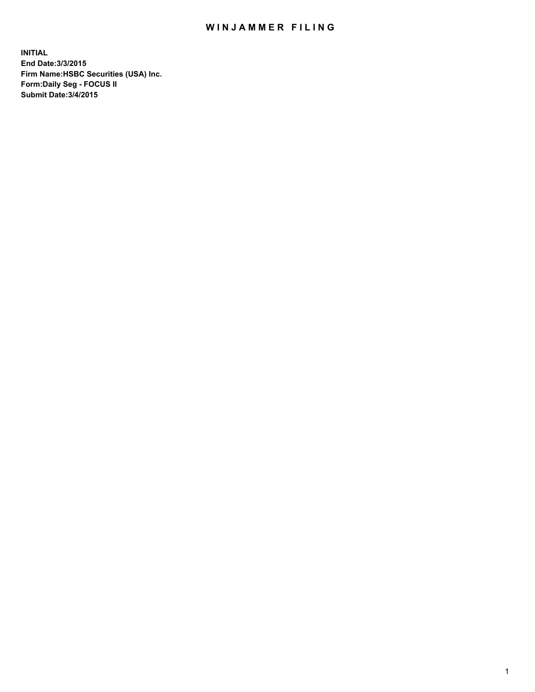## WIN JAMMER FILING

**INITIAL End Date:3/3/2015 Firm Name:HSBC Securities (USA) Inc. Form:Daily Seg - FOCUS II Submit Date:3/4/2015**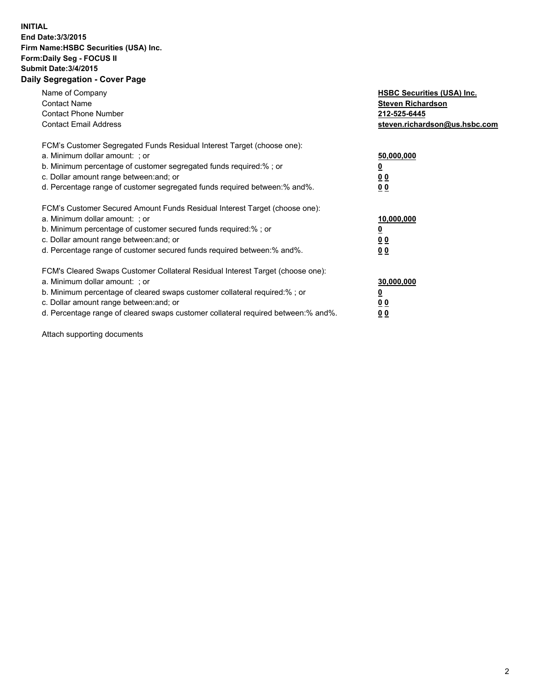## **INITIAL End Date:3/3/2015 Firm Name:HSBC Securities (USA) Inc. Form:Daily Seg - FOCUS II Submit Date:3/4/2015 Daily Segregation - Cover Page**

| Name of Company<br><b>Contact Name</b><br><b>Contact Phone Number</b><br><b>Contact Email Address</b>                                                                                                                                                                                                                         | <b>HSBC Securities (USA) Inc.</b><br><b>Steven Richardson</b><br>212-525-6445<br>steven.richardson@us.hsbc.com |
|-------------------------------------------------------------------------------------------------------------------------------------------------------------------------------------------------------------------------------------------------------------------------------------------------------------------------------|----------------------------------------------------------------------------------------------------------------|
| FCM's Customer Segregated Funds Residual Interest Target (choose one):<br>a. Minimum dollar amount: ; or<br>b. Minimum percentage of customer segregated funds required:% ; or<br>c. Dollar amount range between: and; or<br>d. Percentage range of customer segregated funds required between: % and %.                      | 50,000,000<br>0 <sub>0</sub><br>00                                                                             |
| FCM's Customer Secured Amount Funds Residual Interest Target (choose one):<br>a. Minimum dollar amount: ; or<br>b. Minimum percentage of customer secured funds required:%; or<br>c. Dollar amount range between: and; or<br>d. Percentage range of customer secured funds required between: % and %.                         | 10,000,000<br>00<br>00                                                                                         |
| FCM's Cleared Swaps Customer Collateral Residual Interest Target (choose one):<br>a. Minimum dollar amount: ; or<br>b. Minimum percentage of cleared swaps customer collateral required:%; or<br>c. Dollar amount range between: and; or<br>d. Percentage range of cleared swaps customer collateral required between:% and%. | 30,000,000<br>0 <sub>0</sub><br>00                                                                             |

Attach supporting documents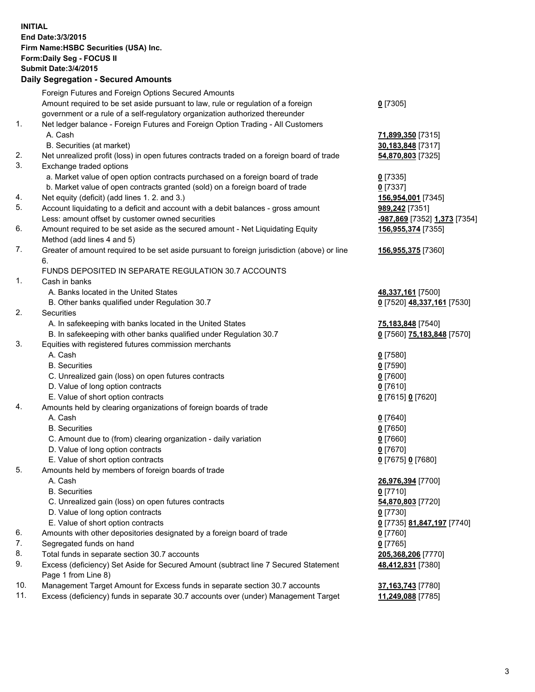**INITIAL End Date:3/3/2015 Firm Name:HSBC Securities (USA) Inc. Form:Daily Seg - FOCUS II Submit Date:3/4/2015 Daily Segregation - Secured Amounts** Foreign Futures and Foreign Options Secured Amounts Amount required to be set aside pursuant to law, rule or regulation of a foreign government or a rule of a self-regulatory organization authorized thereunder **0** [7305] 1. Net ledger balance - Foreign Futures and Foreign Option Trading - All Customers A. Cash **71,899,350** [7315] B. Securities (at market) **30,183,848** [7317] 2. Net unrealized profit (loss) in open futures contracts traded on a foreign board of trade **54,870,803** [7325] 3. Exchange traded options a. Market value of open option contracts purchased on a foreign board of trade **0** [7335] b. Market value of open contracts granted (sold) on a foreign board of trade **0** [7337] 4. Net equity (deficit) (add lines 1. 2. and 3.) **156,954,001** [7345] 5. Account liquidating to a deficit and account with a debit balances - gross amount **989,242** [7351] Less: amount offset by customer owned securities **-987,869** [7352] **1,373** [7354] 6. Amount required to be set aside as the secured amount - Net Liquidating Equity Method (add lines 4 and 5) **156,955,374** [7355] 7. Greater of amount required to be set aside pursuant to foreign jurisdiction (above) or line 6. **156,955,375** [7360] FUNDS DEPOSITED IN SEPARATE REGULATION 30.7 ACCOUNTS 1. Cash in banks A. Banks located in the United States **48,337,161** [7500] B. Other banks qualified under Regulation 30.7 **0** [7520] **48,337,161** [7530] 2. Securities A. In safekeeping with banks located in the United States **75,183,848** [7540] B. In safekeeping with other banks qualified under Regulation 30.7 **0** [7560] **75,183,848** [7570] 3. Equities with registered futures commission merchants A. Cash **0** [7580] B. Securities **0** [7590] C. Unrealized gain (loss) on open futures contracts **0** [7600] D. Value of long option contracts **0** [7610] E. Value of short option contracts **0** [7615] **0** [7620] 4. Amounts held by clearing organizations of foreign boards of trade A. Cash **0** [7640] B. Securities **0** [7650] C. Amount due to (from) clearing organization - daily variation **0** [7660] D. Value of long option contracts **0** [7670] E. Value of short option contracts **0** [7675] **0** [7680] 5. Amounts held by members of foreign boards of trade A. Cash **26,976,394** [7700] B. Securities **0** [7710] C. Unrealized gain (loss) on open futures contracts **54,870,803** [7720] D. Value of long option contracts **0** [7730] E. Value of short option contracts **0** [7735] **81,847,197** [7740] 6. Amounts with other depositories designated by a foreign board of trade **0** [7760] 7. Segregated funds on hand **0** [7765] 8. Total funds in separate section 30.7 accounts **205,368,206** [7770] 9. Excess (deficiency) Set Aside for Secured Amount (subtract line 7 Secured Statement Page 1 from Line 8) **48,412,831** [7380] 10. Management Target Amount for Excess funds in separate section 30.7 accounts **37,163,743** [7780] 11. Excess (deficiency) funds in separate 30.7 accounts over (under) Management Target **11,249,088** [7785]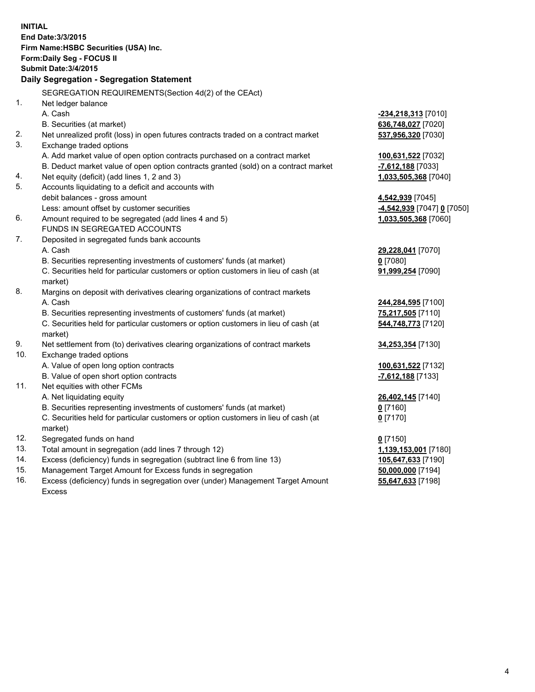| <b>INITIAL</b>                                             |                                                                                                    |                                                    |  |  |  |
|------------------------------------------------------------|----------------------------------------------------------------------------------------------------|----------------------------------------------------|--|--|--|
| End Date: 3/3/2015                                         |                                                                                                    |                                                    |  |  |  |
| Firm Name: HSBC Securities (USA) Inc.                      |                                                                                                    |                                                    |  |  |  |
| Form: Daily Seg - FOCUS II<br><b>Submit Date: 3/4/2015</b> |                                                                                                    |                                                    |  |  |  |
|                                                            | Daily Segregation - Segregation Statement                                                          |                                                    |  |  |  |
|                                                            |                                                                                                    |                                                    |  |  |  |
|                                                            | SEGREGATION REQUIREMENTS(Section 4d(2) of the CEAct)                                               |                                                    |  |  |  |
| 1.                                                         | Net ledger balance                                                                                 |                                                    |  |  |  |
|                                                            | A. Cash                                                                                            | <u>-234,218,313</u> [7010]                         |  |  |  |
|                                                            | B. Securities (at market)                                                                          | 636,748,027 [7020]                                 |  |  |  |
| 2.                                                         | Net unrealized profit (loss) in open futures contracts traded on a contract market                 | 537,956,320 [7030]                                 |  |  |  |
| 3.                                                         | Exchange traded options                                                                            |                                                    |  |  |  |
|                                                            | A. Add market value of open option contracts purchased on a contract market                        | 100,631,522 [7032]                                 |  |  |  |
|                                                            | B. Deduct market value of open option contracts granted (sold) on a contract market                | -7,612,188 [7033]                                  |  |  |  |
| 4.<br>5.                                                   | Net equity (deficit) (add lines 1, 2 and 3)                                                        | 1,033,505,368 [7040]                               |  |  |  |
|                                                            | Accounts liquidating to a deficit and accounts with                                                |                                                    |  |  |  |
|                                                            | debit balances - gross amount                                                                      | 4,542,939 [7045]                                   |  |  |  |
| 6.                                                         | Less: amount offset by customer securities<br>Amount required to be segregated (add lines 4 and 5) | -4,542,939 [7047] 0 [7050]<br>1,033,505,368 [7060] |  |  |  |
|                                                            | FUNDS IN SEGREGATED ACCOUNTS                                                                       |                                                    |  |  |  |
| 7.                                                         | Deposited in segregated funds bank accounts                                                        |                                                    |  |  |  |
|                                                            | A. Cash                                                                                            | 29,228,041 [7070]                                  |  |  |  |
|                                                            | B. Securities representing investments of customers' funds (at market)                             | $0$ [7080]                                         |  |  |  |
|                                                            | C. Securities held for particular customers or option customers in lieu of cash (at                | 91,999,254 [7090]                                  |  |  |  |
|                                                            | market)                                                                                            |                                                    |  |  |  |
| 8.                                                         | Margins on deposit with derivatives clearing organizations of contract markets                     |                                                    |  |  |  |
|                                                            | A. Cash                                                                                            | 244,284,595 [7100]                                 |  |  |  |
|                                                            | B. Securities representing investments of customers' funds (at market)                             | 75,217,505 [7110]                                  |  |  |  |
|                                                            | C. Securities held for particular customers or option customers in lieu of cash (at<br>market)     | 544,748,773 [7120]                                 |  |  |  |
| 9.                                                         | Net settlement from (to) derivatives clearing organizations of contract markets                    | 34,253,354 [7130]                                  |  |  |  |
| 10.                                                        | Exchange traded options                                                                            |                                                    |  |  |  |
|                                                            | A. Value of open long option contracts                                                             | 100,631,522 [7132]                                 |  |  |  |
|                                                            | B. Value of open short option contracts                                                            | $-7,612,188$ [7133]                                |  |  |  |
| 11.                                                        | Net equities with other FCMs                                                                       |                                                    |  |  |  |
|                                                            | A. Net liquidating equity                                                                          | 26,402,145 [7140]                                  |  |  |  |
|                                                            | B. Securities representing investments of customers' funds (at market)                             | 0 [7160]                                           |  |  |  |
|                                                            | C. Securities held for particular customers or option customers in lieu of cash (at                | $0$ [7170]                                         |  |  |  |
|                                                            | market)                                                                                            |                                                    |  |  |  |
| 12.                                                        | Segregated funds on hand                                                                           | $0$ [7150]                                         |  |  |  |
| 13.                                                        | Total amount in segregation (add lines 7 through 12)                                               | 1,139,153,001 [7180]                               |  |  |  |
| 14.                                                        | Excess (deficiency) funds in segregation (subtract line 6 from line 13)                            | 105,647,633 [7190]                                 |  |  |  |
| 15.                                                        | Management Target Amount for Excess funds in segregation                                           | 50,000,000 [7194]                                  |  |  |  |

16. Excess (deficiency) funds in segregation over (under) Management Target Amount Excess

**55,647,633** [7198]